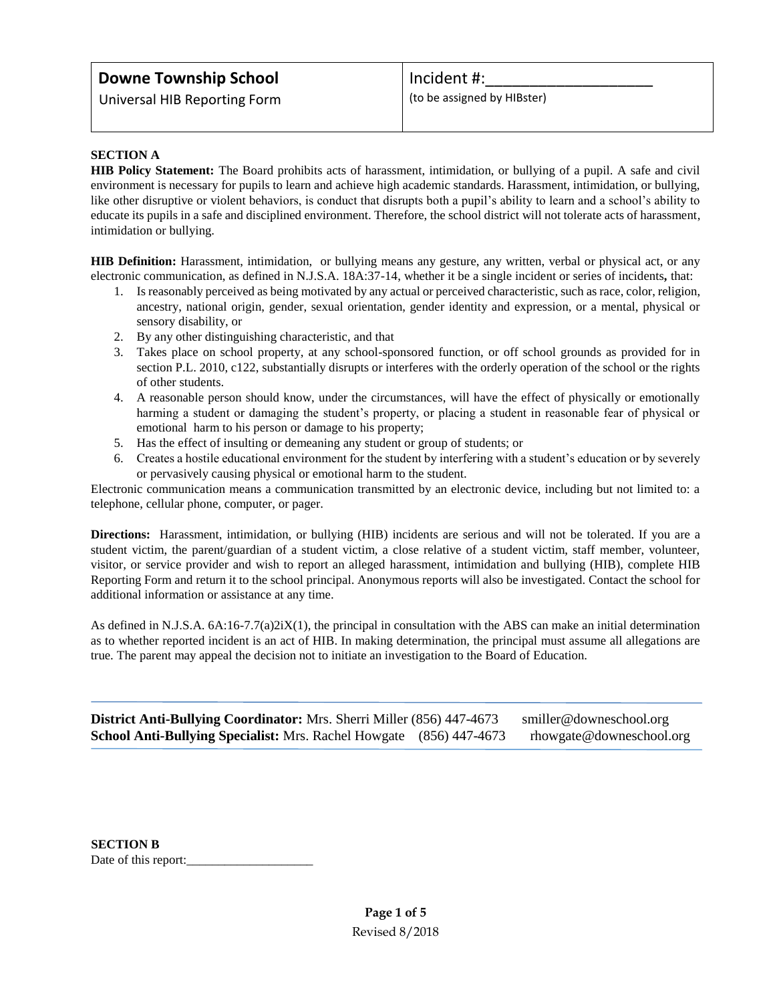# **Downe Township School**

Universal HIB Reporting Form

## Incident #:

(to be assigned by HIBster)

### **SECTION A**

**HIB Policy Statement:** The Board prohibits acts of harassment, intimidation, or bullying of a pupil. A safe and civil environment is necessary for pupils to learn and achieve high academic standards. Harassment, intimidation, or bullying, like other disruptive or violent behaviors, is conduct that disrupts both a pupil's ability to learn and a school's ability to educate its pupils in a safe and disciplined environment. Therefore, the school district will not tolerate acts of harassment, intimidation or bullying.

**HIB Definition:** Harassment, intimidation, or bullying means any gesture, any written, verbal or physical act, or any electronic communication, as defined in N.J.S.A. 18A:37-14, whether it be a single incident or series of incidents*,* that:

- 1. Is reasonably perceived as being motivated by any actual or perceived characteristic, such as race, color, religion, ancestry, national origin, gender, sexual orientation, gender identity and expression, or a mental, physical or sensory disability, or
- 2. By any other distinguishing characteristic, and that
- 3. Takes place on school property, at any school-sponsored function, or off school grounds as provided for in section P.L. 2010, c122, substantially disrupts or interferes with the orderly operation of the school or the rights of other students.
- 4. A reasonable person should know, under the circumstances, will have the effect of physically or emotionally harming a student or damaging the student's property, or placing a student in reasonable fear of physical or emotional harm to his person or damage to his property;
- 5. Has the effect of insulting or demeaning any student or group of students; or
- 6. Creates a hostile educational environment for the student by interfering with a student's education or by severely or pervasively causing physical or emotional harm to the student.

Electronic communication means a communication transmitted by an electronic device, including but not limited to: a telephone, cellular phone, computer, or pager.

**Directions:** Harassment, intimidation, or bullying (HIB) incidents are serious and will not be tolerated. If you are a student victim, the parent/guardian of a student victim, a close relative of a student victim, staff member, volunteer, visitor, or service provider and wish to report an alleged harassment, intimidation and bullying (HIB), complete HIB Reporting Form and return it to the school principal. Anonymous reports will also be investigated. Contact the school for additional information or assistance at any time.

As defined in N.J.S.A. 6A:16-7.7(a)2iX(1), the principal in consultation with the ABS can make an initial determination as to whether reported incident is an act of HIB. In making determination, the principal must assume all allegations are true. The parent may appeal the decision not to initiate an investigation to the Board of Education.

| <b>District Anti-Bullying Coordinator:</b> Mrs. Sherri Miller (856) 447-4673 | smiller@downeschool.org  |
|------------------------------------------------------------------------------|--------------------------|
| <b>School Anti-Bullying Specialist:</b> Mrs. Rachel Howgate (856) 447-4673   | rhowgate@downeschool.org |

**SECTION B** Date of this report: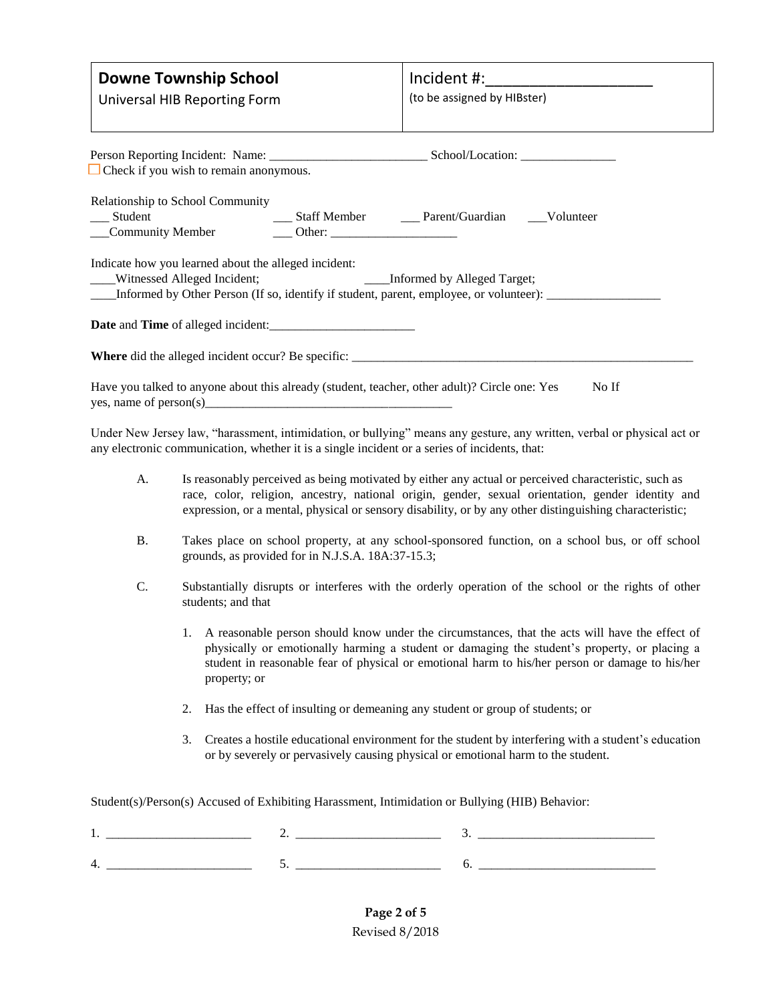| <b>Downe Township School</b><br>Universal HIB Reporting Form                                                                                                                                                        | Incident #:_________________________<br>(to be assigned by HIBster) |  |  |  |
|---------------------------------------------------------------------------------------------------------------------------------------------------------------------------------------------------------------------|---------------------------------------------------------------------|--|--|--|
| $\Box$ Check if you wish to remain anonymous.                                                                                                                                                                       |                                                                     |  |  |  |
| Relationship to School Community                                                                                                                                                                                    |                                                                     |  |  |  |
| Indicate how you learned about the alleged incident:<br>___Informed by Alleged Target;<br>____Witnessed Alleged Incident;<br>Informed by Other Person (If so, identify if student, parent, employee, or volunteer): |                                                                     |  |  |  |
| <b>Date</b> and <b>Time</b> of alleged incident:                                                                                                                                                                    |                                                                     |  |  |  |
|                                                                                                                                                                                                                     |                                                                     |  |  |  |
| Have you talked to anyone about this already (student, teacher, other adult)? Circle one: Yes<br>No If                                                                                                              |                                                                     |  |  |  |

Under New Jersey law, "harassment, intimidation, or bullying" means any gesture, any written, verbal or physical act or any electronic communication, whether it is a single incident or a series of incidents, that:

- A. Is reasonably perceived as being motivated by either any actual or perceived characteristic, such as race, color, religion, ancestry, national origin, gender, sexual orientation, gender identity and expression, or a mental, physical or sensory disability, or by any other distinguishing characteristic;
- B. Takes place on school property, at any school-sponsored function, on a school bus, or off school grounds, as provided for in N.J.S.A. 18A:37-15.3;
- C. Substantially disrupts or interferes with the orderly operation of the school or the rights of other students; and that
	- 1. A reasonable person should know under the circumstances, that the acts will have the effect of physically or emotionally harming a student or damaging the student's property, or placing a student in reasonable fear of physical or emotional harm to his/her person or damage to his/her property; or
	- 2. Has the effect of insulting or demeaning any student or group of students; or
	- 3. Creates a hostile educational environment for the student by interfering with a student's education or by severely or pervasively causing physical or emotional harm to the student.

Student(s)/Person(s) Accused of Exhibiting Harassment, Intimidation or Bullying (HIB) Behavior:

| . .<br>____________________________ | -<br>________________________ |    |
|-------------------------------------|-------------------------------|----|
| ⊶<br>. .                            |                               | __ |

**Page 2 of 5** Revised 8/2018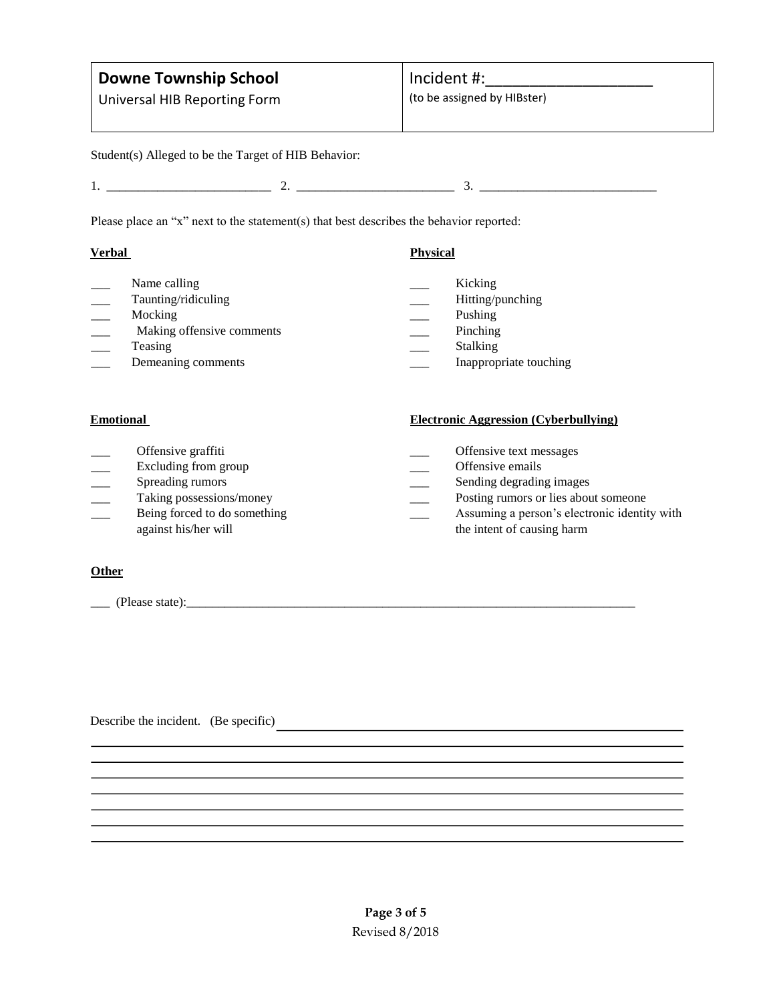# **Downe Township School**

Universal HIB Reporting Form

(to be assigned by HIBster)

Student(s) Alleged to be the Target of HIB Behavior:

1. \_\_\_\_\_\_\_\_\_\_\_\_\_\_\_\_\_\_\_\_\_\_\_\_\_\_ 2. \_\_\_\_\_\_\_\_\_\_\_\_\_\_\_\_\_\_\_\_\_\_\_\_\_ 3. \_\_\_\_\_\_\_\_\_\_\_\_\_\_\_\_\_\_\_\_\_\_\_\_\_\_\_\_

Please place an "x" next to the statement(s) that best describes the behavior reported:

### **Verbal Physical**

Name calling Kicking Taunting/ridiculing Taunting/ridiculing Taunting/punching Mocking Pushing Pushing Pushing Pushing Pushing Pushing Pushing Pushing Pushing Pushing Pushing Pushing Pushing Pushing Pushing Pushing Pushing Pushing Pushing Pushing Pushing Pushing Pushing Pushing Pushing Pushing Pushin Making offensive comments **and all all the Secure 2** Pinching Teasing Stalking Stalking Demeaning comments **Example 2** Inappropriate touching

- 
- 
- 
- 
- 
- 

## **Emotional Electronic Aggression (Cyberbullying)**

- Offensive graffiti **and Community Community Community Community Community Community Community Community Community Community Community Community Community Community Community Community Commun** Excluding from group **Excluding from group C** Offensive emails Spreading rumors **Spreading rumors** Sending degrading images Taking possessions/money and the possessions of lies about someone possessions are possessions of lies about someone Being forced to do something **EXECUTE:** Assuming a person's electronic identity with
- against his/her will the intent of causing harm

## **Other**

\_\_\_ (Please state):\_\_\_\_\_\_\_\_\_\_\_\_\_\_\_\_\_\_\_\_\_\_\_\_\_\_\_\_\_\_\_\_\_\_\_\_\_\_\_\_\_\_\_\_\_\_\_\_\_\_\_\_\_\_\_\_\_\_\_\_\_\_\_\_\_\_\_\_\_\_\_

Describe the incident. (Be specific)<br>
<u>Describe the incident</u> of the specific)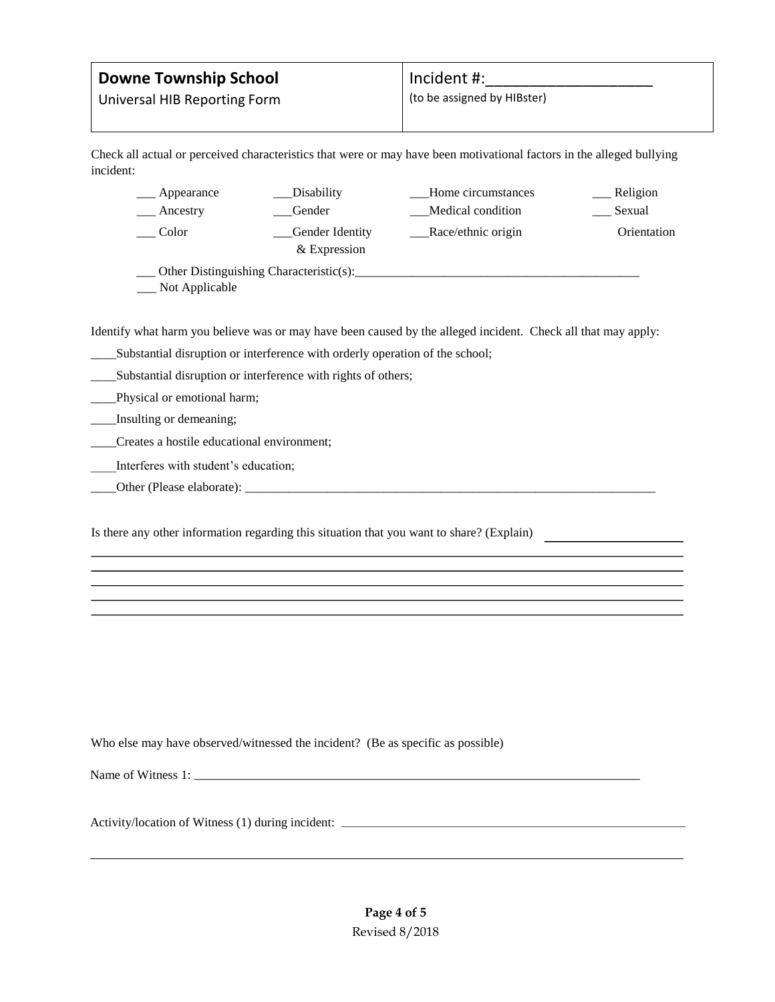# **Downe Township School**

Incident #:

Universal HIB Reporting Form

(to be assigned by HIBster)

Check all actual or perceived characteristics that were or may have been motivational factors in the alleged bullying incident:

| ___ Appearance | _Disability                             | Home circumstances | __ Religion |
|----------------|-----------------------------------------|--------------------|-------------|
| Ancestry       | Gender                                  | Medical condition  | Sexual      |
| Color          | Gender Identity<br>& Expression         | Race/ethnic origin | Orientation |
| Not Applicable | Other Distinguishing Characteristic(s): |                    |             |

Identify what harm you believe was or may have been caused by the alleged incident. Check all that may apply:

- \_\_\_\_Substantial disruption or interference with orderly operation of the school;
- \_\_\_\_Substantial disruption or interference with rights of others;
- \_\_\_\_Physical or emotional harm;
- \_\_\_\_Insulting or demeaning;
- \_\_\_\_Creates a hostile educational environment;
- \_\_\_\_Interferes with student's education;
- \_\_\_\_Other (Please elaborate): \_\_\_\_\_\_\_\_\_\_\_\_\_\_\_\_\_\_\_\_\_\_\_\_\_\_\_\_\_\_\_\_\_\_\_\_\_\_\_\_\_\_\_\_\_\_\_\_\_\_\_\_\_\_\_\_\_\_\_\_\_\_\_\_\_

Is there any other information regarding this situation that you want to share? (Explain)

Who else may have observed/witnessed the incident? (Be as specific as possible)

Name of Witness 1:

Activity/location of Witness (1) during incident:

**Page 4 of 5** Revised 8/2018